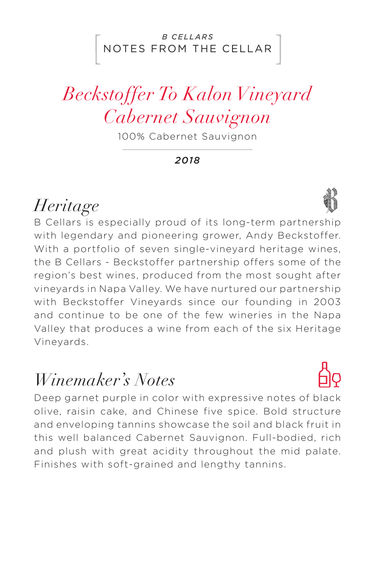#### NOTES FROM THE CELLAR *B CELLARS*

# *Beckstoffer To Kalon Vineyard Cabernet Sauvignon*

100% Cabernet Sauvignon

*2018*

## *Heritage*

B Cellars is especially proud of its long-term partnership with legendary and pioneering grower, Andy Beckstoffer. With a portfolio of seven single-vineyard heritage wines, the B Cellars - Beckstoffer partnership offers some of the region's best wines, produced from the most sought after vineyards in Napa Valley. We have nurtured our partnership with Beckstoffer Vineyards since our founding in 2003 and continue to be one of the few wineries in the Napa Valley that produces a wine from each of the six Heritage Vineyards.

### *Winemaker's Notes*

Deep garnet purple in color with expressive notes of black olive, raisin cake, and Chinese five spice. Bold structure and enveloping tannins showcase the soil and black fruit in this well balanced Cabernet Sauvignon. Full-bodied, rich and plush with great acidity throughout the mid palate. Finishes with soft-grained and lengthy tannins.